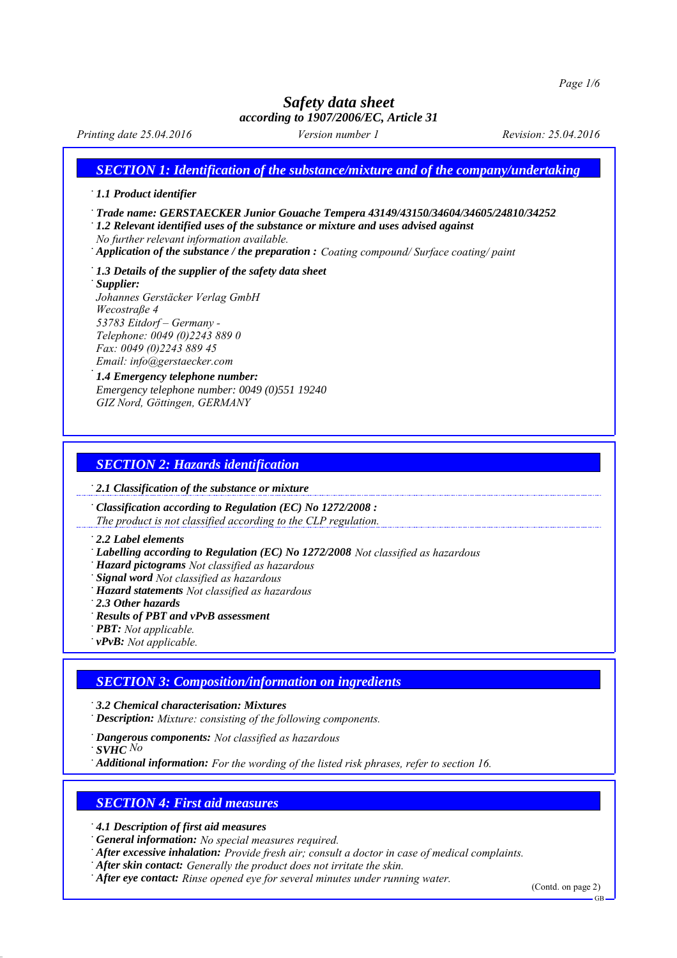*Printing date 25.04.2016 Version number 1 Revision: 25.04.2016*

*SECTION 1: Identification of the substance/mixture and of the company/undertaking*

### *∙ 1.1 Product identifier*

*∙ Trade name: GERSTAECKER Junior Gouache Tempera 43149/43150/34604/34605/24810/34252*

*∙ 1.2 Relevant identified uses of the substance or mixture and uses advised against*

*No further relevant information available.*

*∙ Application of the substance / the preparation : Coating compound/ Surface coating/ paint*

*∙ 1.3 Details of the supplier of the safety data sheet*

*∙ Supplier: Johannes Gerstäcker Verlag GmbH Wecostraße 4 53783 Eitdorf – Germany - Telephone: 0049 (0)2243 889 0 Fax: 0049 (0)2243 889 45*

#### *Email: info@gerstaecker.com <sup>∙</sup>1.4 Emergency telephone number: Emergency telephone number: 0049 (0)551 19240 GIZ Nord, Göttingen, GERMANY*

# *SECTION 2: Hazards identification*

*∙ 2.1 Classification of the substance or mixture*

*∙ Classification according to Regulation (EC) No 1272/2008 : The product is not classified according to the CLP regulation.*

*∙ 2.2 Label elements*

*∙ Labelling according to Regulation (EC) No 1272/2008 Not classified as hazardous*

*∙ Hazard pictograms Not classified as hazardous*

*∙ Signal word Not classified as hazardous*

- *∙ Hazard statements Not classified as hazardous*
- *∙ 2.3 Other hazards*

*∙ Results of PBT and vPvB assessment*

*∙ PBT: Not applicable.*

*∙ vPvB: Not applicable.*

# *SECTION 3: Composition/information on ingredients*

*∙ 3.2 Chemical characterisation: Mixtures*

*∙ Description: Mixture: consisting of the following components.*

*∙ Dangerous components: Not classified as hazardous*

*∙ SVHC No*

*∙ Additional information: For the wording of the listed risk phrases, refer to section 16.*

# *SECTION 4: First aid measures*

*∙ 4.1 Description of first aid measures*

*∙ General information: No special measures required.*

*∙ After excessive inhalation: Provide fresh air; consult a doctor in case of medical complaints.*

- *∙ After skin contact: Generally the product does not irritate the skin.*
- *∙ After eye contact: Rinse opened eye for several minutes under running water.*

(Contd. on page 2)

GB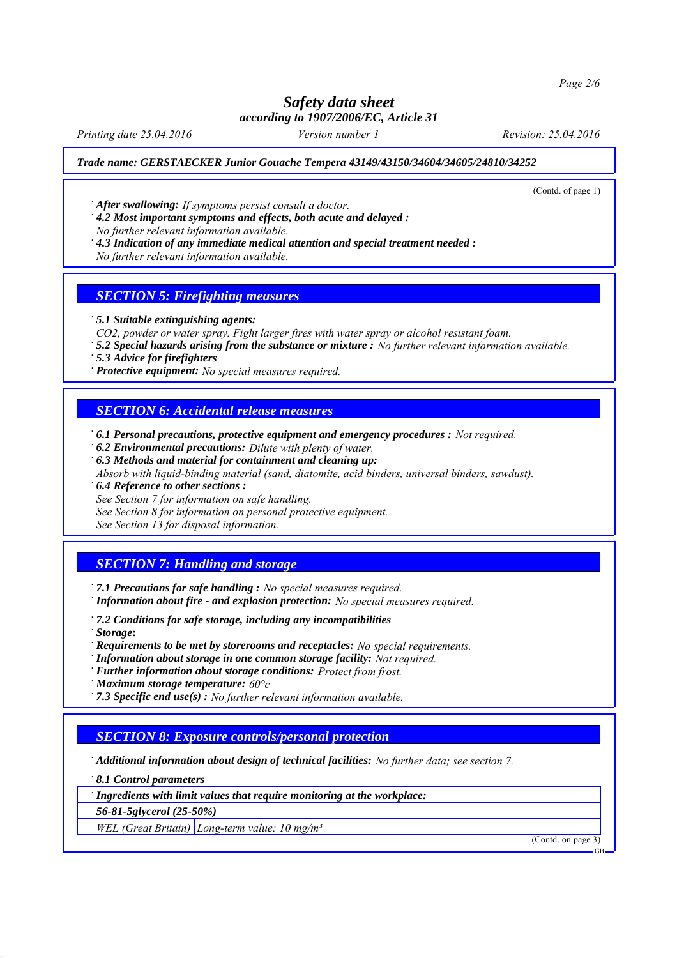*Page 2/6*

## *Safety data sheet according to 1907/2006/EC, Article 31*

*Printing date 25.04.2016 Version number 1 Revision: 25.04.2016*

#### *Trade name: GERSTAECKER Junior Gouache Tempera 43149/43150/34604/34605/24810/34252*

(Contd. of page 1)

*∙ After swallowing: If symptoms persist consult a doctor.*

*∙ 4.2 Most important symptoms and effects, both acute and delayed :*

*No further relevant information available.*

*∙ 4.3 Indication of any immediate medical attention and special treatment needed :*

*No further relevant information available.*

### *SECTION 5: Firefighting measures*

*∙ 5.1 Suitable extinguishing agents:*

*CO2, powder or water spray. Fight larger fires with water spray or alcohol resistant foam.*

*∙ 5.2 Special hazards arising from the substance or mixture : No further relevant information available.*

*∙ 5.3 Advice for firefighters*

*∙ Protective equipment: No special measures required.*

### *SECTION 6: Accidental release measures*

*∙ 6.1 Personal precautions, protective equipment and emergency procedures : Not required.*

*∙ 6.2 Environmental precautions: Dilute with plenty of water.*

*∙ 6.3 Methods and material for containment and cleaning up:*

*Absorb with liquid-binding material (sand, diatomite, acid binders, universal binders, sawdust).*

*∙ 6.4 Reference to other sections :*

*See Section 7 for information on safe handling.*

*See Section 8 for information on personal protective equipment.*

*See Section 13 for disposal information.*

# *SECTION 7: Handling and storage*

*∙ 7.1 Precautions for safe handling : No special measures required. ∙ Information about fire - and explosion protection: No special measures required.*

*∙ 7.2 Conditions for safe storage, including any incompatibilities*

*∙ Storage***:**

*∙ Requirements to be met by storerooms and receptacles: No special requirements.*

*∙ Information about storage in one common storage facility: Not required.*

*∙ Further information about storage conditions: Protect from frost.*

*∙ Maximum storage temperature: 60°c*

*∙ 7.3 Specific end use(s) : No further relevant information available.*

### *SECTION 8: Exposure controls/personal protection*

*∙ Additional information about design of technical facilities: No further data; see section 7.*

*∙ 8.1 Control parameters*

*∙ Ingredients with limit values that require monitoring at the workplace:*

*56-81-5glycerol (25-50%)*

*WEL (Great Britain) Long-term value: 10 mg/m³*

(Contd. on page 3)

GB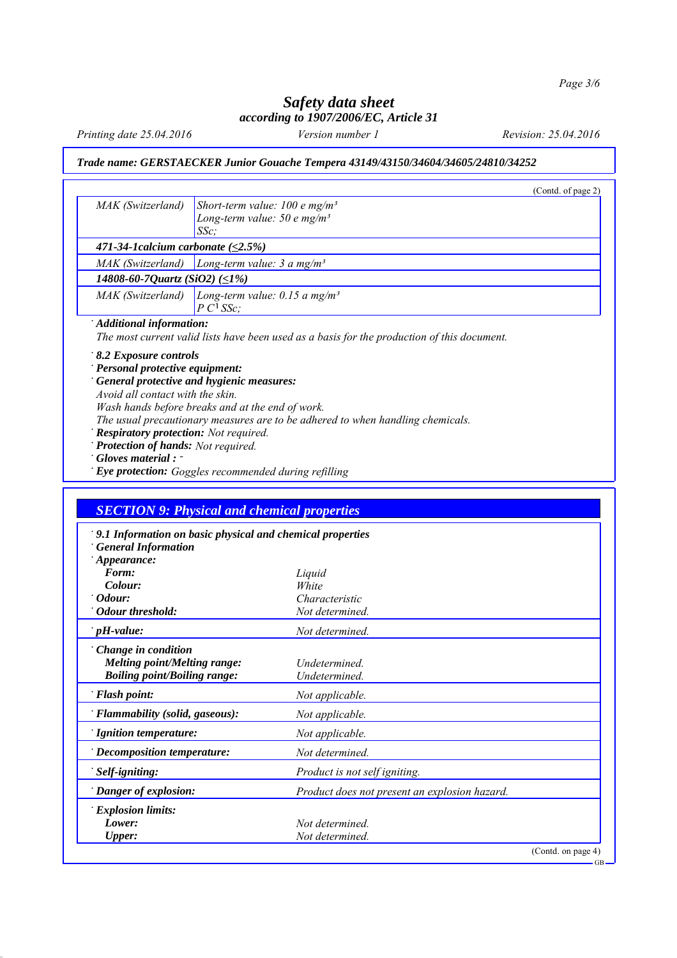*Printing date 25.04.2016 Version number 1 Revision: 25.04.2016*

## *Trade name: GERSTAECKER Junior Gouache Tempera 43149/43150/34604/34605/24810/34252*

|                                                      |                                                                                             | (Contd. of page 2) |
|------------------------------------------------------|---------------------------------------------------------------------------------------------|--------------------|
| MAK (Switzerland)                                    | Short-term value: 100 e mg/m <sup>3</sup>                                                   |                    |
|                                                      | Long-term value: $50 e mg/m3$                                                               |                    |
|                                                      | $SSc$ ;                                                                                     |                    |
| 471-34-1 calcium carbonate $(\leq2.5\%)$             |                                                                                             |                    |
|                                                      | MAK (Switzerland)   Long-term value: $3 a mg/m3$                                            |                    |
| 14808-60-7Quartz (SiO2) $(\leq1\%)$                  |                                                                                             |                    |
| MAK (Switzerland)                                    | Long-term value: 0.15 a mg/m <sup>3</sup>                                                   |                    |
|                                                      | $P C1 S S c$ ;                                                                              |                    |
| Additional information:                              |                                                                                             |                    |
|                                                      | The most current valid lists have been used as a basis for the production of this document. |                    |
| 8.2 Exposure controls                                |                                                                                             |                    |
| Personal protective equipment:                       |                                                                                             |                    |
|                                                      | General protective and hygienic measures:                                                   |                    |
| Avoid all contact with the skin.                     |                                                                                             |                    |
|                                                      | Wash hands before breaks and at the end of work.                                            |                    |
|                                                      | The usual precautionary measures are to be adhered to when handling chemicals.              |                    |
| <b>Respiratory protection:</b> Not required.         |                                                                                             |                    |
| Protection of hands: Not required.                   |                                                                                             |                    |
| Gloves material : -                                  |                                                                                             |                    |
|                                                      |                                                                                             |                    |
| Eye protection: Goggles recommended during refilling |                                                                                             |                    |

| 9.1 Information on basic physical and chemical properties |                                               |                    |
|-----------------------------------------------------------|-----------------------------------------------|--------------------|
| <b>General Information</b>                                |                                               |                    |
| Appearance:                                               |                                               |                    |
| Form:                                                     | Liquid                                        |                    |
| Colour:                                                   | White                                         |                    |
| Odour:                                                    | Characteristic                                |                    |
| <b>Odour threshold:</b>                                   | Not determined.                               |                    |
| $\mathcal{L}_{\mathbf{p}}$ pH-value:                      | Not determined.                               |                    |
| Change in condition                                       |                                               |                    |
| <b>Melting point/Melting range:</b>                       | Undetermined.                                 |                    |
| <b>Boiling point/Boiling range:</b>                       | <b>Undetermined</b>                           |                    |
| <b>Flash point:</b>                                       | Not applicable.                               |                    |
| Flammability (solid, gaseous):                            | Not applicable.                               |                    |
| Ignition temperature:                                     | Not applicable.                               |                    |
| <b>Decomposition temperature:</b>                         | Not determined.                               |                    |
| Self-igniting:                                            | Product is not self igniting.                 |                    |
| Danger of explosion:                                      | Product does not present an explosion hazard. |                    |
| <b>Explosion limits:</b>                                  |                                               |                    |
| Lower:                                                    | Not determined.                               |                    |
| <b>Upper:</b>                                             | Not determined.                               |                    |
|                                                           |                                               | (Contd. on page 4) |
|                                                           |                                               | $GB -$             |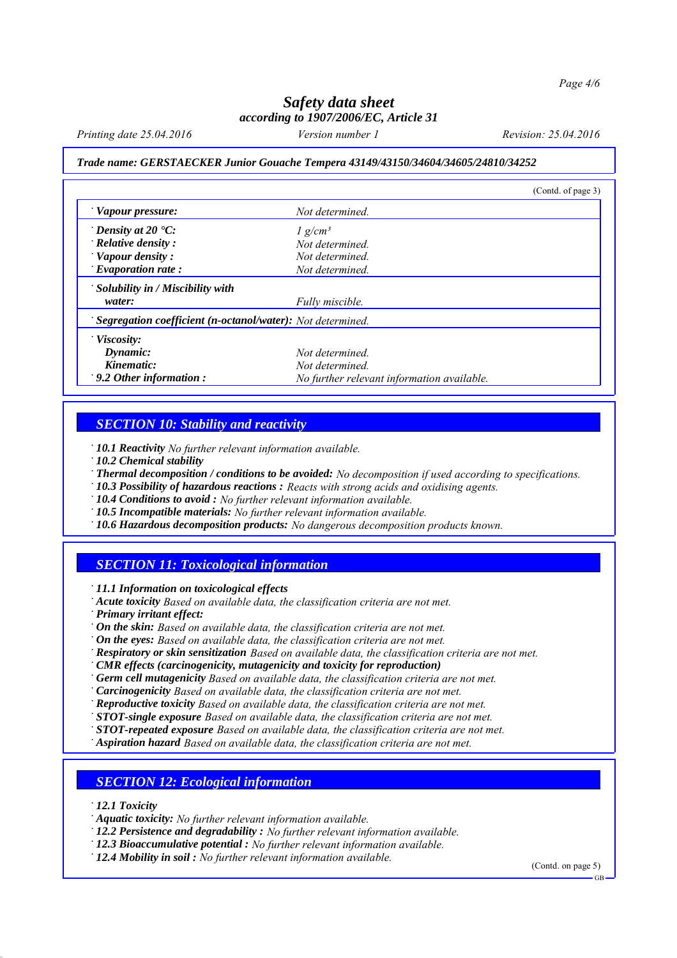*Printing date 25.04.2016 Version number 1 Revision: 25.04.2016*

#### *Trade name: GERSTAECKER Junior Gouache Tempera 43149/43150/34604/34605/24810/34252*

|                                                                   |                                            | (Contd. of page 3) |
|-------------------------------------------------------------------|--------------------------------------------|--------------------|
| Vapour pressure:                                                  | Not determined.                            |                    |
| $\cdot$ Density at 20 $\cdot$ C:                                  | $1$ g/cm <sup>3</sup>                      |                    |
| $\cdot$ Relative density:                                         | Not determined                             |                    |
| Vapour density:                                                   | Not determined.                            |                    |
| $\cdot$ Evaporation rate:                                         | Not determined.                            |                    |
| $\cdot$ Solubility in / Miscibility with                          |                                            |                    |
| water:                                                            | Fully miscible.                            |                    |
| <b>Segregation coefficient (n-octanol/water):</b> Not determined. |                                            |                    |
| $\cdot$ Viscosity:                                                |                                            |                    |
| Dynamic:                                                          | Not determined.                            |                    |
| Kinematic:                                                        | Not determined.                            |                    |
| $\cdot$ 9.2 Other information:                                    | No further relevant information available. |                    |

### *SECTION 10: Stability and reactivity*

*∙ 10.1 Reactivity No further relevant information available.*

*∙ 10.2 Chemical stability*

*∙ Thermal decomposition / conditions to be avoided: No decomposition if used according to specifications.*

*∙ 10.3 Possibility of hazardous reactions : Reacts with strong acids and oxidising agents.*

*∙ 10.4 Conditions to avoid : No further relevant information available.*

*∙ 10.5 Incompatible materials: No further relevant information available.*

*∙ 10.6 Hazardous decomposition products: No dangerous decomposition products known.*

### *SECTION 11: Toxicological information*

*∙ 11.1 Information on toxicological effects*

*∙ Acute toxicity Based on available data, the classification criteria are not met.*

*∙ Primary irritant effect:*

*∙ On the skin: Based on available data, the classification criteria are not met.*

*∙ On the eyes: Based on available data, the classification criteria are not met.*

- *∙ Respiratory or skin sensitization Based on available data, the classification criteria are not met.*
- *∙ CMR effects (carcinogenicity, mutagenicity and toxicity for reproduction)*

*∙ Germ cell mutagenicity Based on available data, the classification criteria are not met.*

*∙ Carcinogenicity Based on available data, the classification criteria are not met.*

*∙ Reproductive toxicity Based on available data, the classification criteria are not met.*

*∙ STOT-single exposure Based on available data, the classification criteria are not met.*

*∙ STOT-repeated exposure Based on available data, the classification criteria are not met.*

*∙ Aspiration hazard Based on available data, the classification criteria are not met.*

### *SECTION 12: Ecological information*

*∙ 12.1 Toxicity*

*∙ Aquatic toxicity: No further relevant information available.*

*∙ 12.2 Persistence and degradability : No further relevant information available.*

*∙ 12.3 Bioaccumulative potential : No further relevant information available.*

*∙ 12.4 Mobility in soil : No further relevant information available.*

(Contd. on page 5)

GB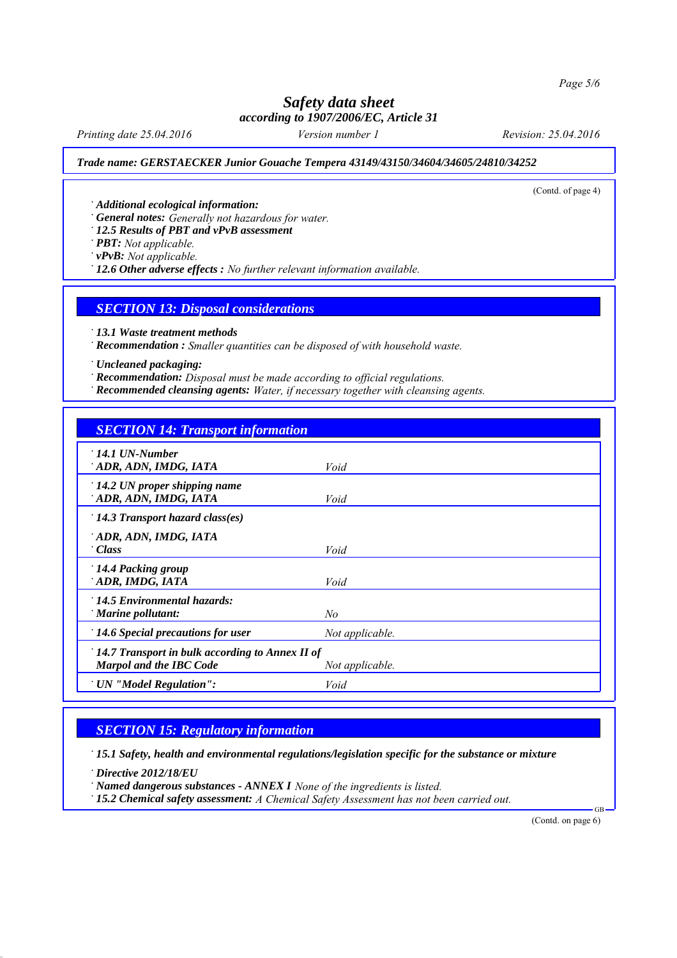*Printing date 25.04.2016 Version number 1 Revision: 25.04.2016*

(Contd. of page 4)

#### *Trade name: GERSTAECKER Junior Gouache Tempera 43149/43150/34604/34605/24810/34252*

*∙ Additional ecological information:*

*∙ General notes: Generally not hazardous for water.*

*∙ 12.5 Results of PBT and vPvB assessment*

*∙ PBT: Not applicable.*

*∙ vPvB: Not applicable.*

*∙ 12.6 Other adverse effects : No further relevant information available.*

### *SECTION 13: Disposal considerations*

*∙ 13.1 Waste treatment methods*

*∙ Recommendation : Smaller quantities can be disposed of with household waste.*

*∙ Uncleaned packaging:*

*∙ Recommendation: Disposal must be made according to official regulations.*

*∙ Recommended cleansing agents: Water, if necessary together with cleansing agents.*

# *SECTION 14: Transport information*

| $\cdot$ 14.1 UN-Number<br>ADR, ADN, IMDG, IATA                                                      | Void            |  |  |  |
|-----------------------------------------------------------------------------------------------------|-----------------|--|--|--|
| $\cdot$ 14.2 UN proper shipping name<br>ADR, ADN, IMDG, IATA                                        | Void            |  |  |  |
| $\cdot$ 14.3 Transport hazard class(es)                                                             |                 |  |  |  |
| ADR, ADN, IMDG, IATA<br>Class <sup>-</sup>                                                          | Void            |  |  |  |
| $\cdot$ 14.4 Packing group<br>ADR, IMDG, IATA                                                       | Void            |  |  |  |
| $\cdot$ 14.5 Environmental hazards:<br>Marine pollutant:                                            | No              |  |  |  |
| $\cdot$ 14.6 Special precautions for user                                                           | Not applicable. |  |  |  |
| $\pm$ 14.7 Transport in bulk according to Annex II of<br>Marpol and the IBC Code<br>Not applicable. |                 |  |  |  |
| ' UN "Model Regulation":                                                                            | Void            |  |  |  |

### *SECTION 15: Regulatory information*

*∙ 15.1 Safety, health and environmental regulations/legislation specific for the substance or mixture*

*∙ Directive 2012/18/EU*

*∙ Named dangerous substances - ANNEX I None of the ingredients is listed.*

*∙ 15.2 Chemical safety assessment: A Chemical Safety Assessment has not been carried out.*

(Contd. on page 6)

GB